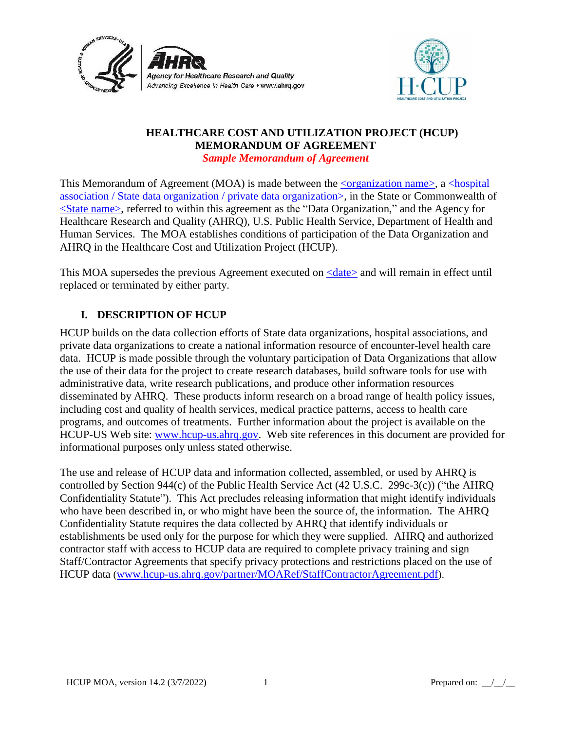



### **HEALTHCARE COST AND UTILIZATION PROJECT (HCUP) MEMORANDUM OF AGREEMENT** *Sample Memorandum of Agreement*

This Memorandum of Agreement (MOA) is made between the  $\langle$ organization name $\rangle$ , a  $\langle$ hospital association / State data organization / private data organization>, in the State or Commonwealth of <State name>, referred to within this agreement as the "Data Organization," and the Agency for Healthcare Research and Quality (AHRQ), U.S. Public Health Service, Department of Health and Human Services. The MOA establishes conditions of participation of the Data Organization and AHRQ in the Healthcare Cost and Utilization Project (HCUP).

This MOA supersedes the previous Agreement executed on  $\langle date \rangle$  and will remain in effect until replaced or terminated by either party.

## **I. DESCRIPTION OF HCUP**

HCUP builds on the data collection efforts of State data organizations, hospital associations, and private data organizations to create a national information resource of encounter-level health care data. HCUP is made possible through the voluntary participation of Data Organizations that allow the use of their data for the project to create research databases, build software tools for use with administrative data, write research publications, and produce other information resources disseminated by AHRQ. These products inform research on a broad range of health policy issues, including cost and quality of health services, medical practice patterns, access to health care programs, and outcomes of treatments. Further information about the project is available on the HCUP-US Web site: [www.hcup-us.ahrq.gov.](http://www.hcup-us.ahrq.gov/) Web site references in this document are provided for informational purposes only unless stated otherwise.

The use and release of HCUP data and information collected, assembled, or used by AHRQ is controlled by Section 944(c) of the Public Health Service Act (42 U.S.C. 299c-3(c)) ("the AHRQ Confidentiality Statute"). This Act precludes releasing information that might identify individuals who have been described in, or who might have been the source of, the information. The AHRQ Confidentiality Statute requires the data collected by AHRQ that identify individuals or establishments be used only for the purpose for which they were supplied. AHRQ and authorized contractor staff with access to HCUP data are required to complete privacy training and sign Staff/Contractor Agreements that specify privacy protections and restrictions placed on the use of HCUP data ([www.hcup-us.ahrq.gov/partner/MOARef/StaffContractorAgreement.pdf](http://www.hcup-us.ahrq.gov/partner/MOARef/StaffContractorAgreement.pdf)).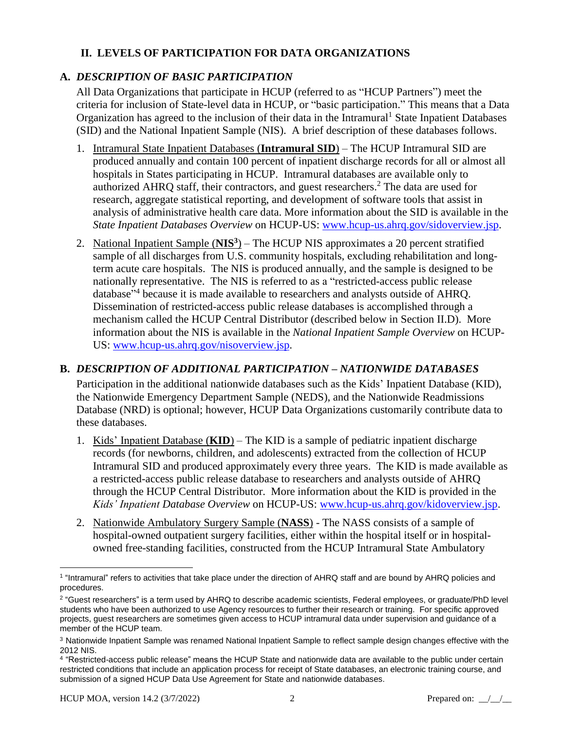## **II. LEVELS OF PARTICIPATION FOR DATA ORGANIZATIONS**

### **A.** *DESCRIPTION OF BASIC PARTICIPATION*

All Data Organizations that participate in HCUP (referred to as "HCUP Partners") meet the criteria for inclusion of State-level data in HCUP, or "basic participation." This means that a Data Organization has agreed to the inclusion of their data in the Intramural<sup>1</sup> State Inpatient Databases (SID) and the National Inpatient Sample (NIS). A brief description of these databases follows.

- 1. Intramural State Inpatient Databases (**Intramural SID**) The HCUP Intramural SID are produced annually and contain 100 percent of inpatient discharge records for all or almost all hospitals in States participating in HCUP. Intramural databases are available only to authorized AHRQ staff, their contractors, and guest researchers. <sup>2</sup> The data are used for research, aggregate statistical reporting, and development of software tools that assist in analysis of administrative health care data. More information about the SID is available in the *State Inpatient Databases Overview* on HCUP-US: [www.hcup-us.ahrq.gov/sidoverview.jsp.](http://www.hcup-us.ahrq.gov/sidoverview.jsp)
- 2. National Inpatient Sample (**NIS<sup>3</sup>** ) The HCUP NIS approximates a 20 percent stratified sample of all discharges from U.S. community hospitals, excluding rehabilitation and longterm acute care hospitals. The NIS is produced annually, and the sample is designed to be nationally representative. The NIS is referred to as a "restricted-access public release database" 4 because it is made available to researchers and analysts outside of AHRQ. Dissemination of restricted-access public release databases is accomplished through a mechanism called the HCUP Central Distributor (described below in Section II.D). More information about the NIS is available in the *National Inpatient Sample Overview* on HCUP-US: [www.hcup-us.ahrq.gov/nisoverview.jsp.](http://www.hcup-us.ahrq.gov/nisoverview.jsp)

### **B.** *DESCRIPTION OF ADDITIONAL PARTICIPATION – NATIONWIDE DATABASES*

Participation in the additional nationwide databases such as the Kids' Inpatient Database (KID), the Nationwide Emergency Department Sample (NEDS), and the Nationwide Readmissions Database (NRD) is optional; however, HCUP Data Organizations customarily contribute data to these databases.

- 1. Kids' Inpatient Database (**KID**) The KID is a sample of pediatric inpatient discharge records (for newborns, children, and adolescents) extracted from the collection of HCUP Intramural SID and produced approximately every three years. The KID is made available as a restricted-access public release database to researchers and analysts outside of AHRQ through the HCUP Central Distributor. More information about the KID is provided in the *Kids' Inpatient Database Overview* on HCUP-US: [www.hcup-us.ahrq.gov/kidoverview.jsp.](http://www.hcup-us.ahrq.gov/kidoverview.jsp)
- 2. Nationwide Ambulatory Surgery Sample (**NASS**) The NASS consists of a sample of hospital-owned outpatient surgery facilities, either within the hospital itself or in hospitalowned free-standing facilities, constructed from the HCUP Intramural State Ambulatory

 $\overline{a}$ <sup>1</sup> "Intramural" refers to activities that take place under the direction of AHRQ staff and are bound by AHRQ policies and procedures.

<sup>&</sup>lt;sup>2</sup> "Guest researchers" is a term used by AHRQ to describe academic scientists, Federal employees, or graduate/PhD level students who have been authorized to use Agency resources to further their research or training. For specific approved projects, guest researchers are sometimes given access to HCUP intramural data under supervision and guidance of a member of the HCUP team.

<sup>&</sup>lt;sup>3</sup> Nationwide Inpatient Sample was renamed National Inpatient Sample to reflect sample design changes effective with the 2012 NIS.

<sup>4</sup> "Restricted-access public release" means the HCUP State and nationwide data are available to the public under certain restricted conditions that include an application process for receipt of State databases, an electronic training course, and submission of a signed HCUP Data Use Agreement for State and nationwide databases.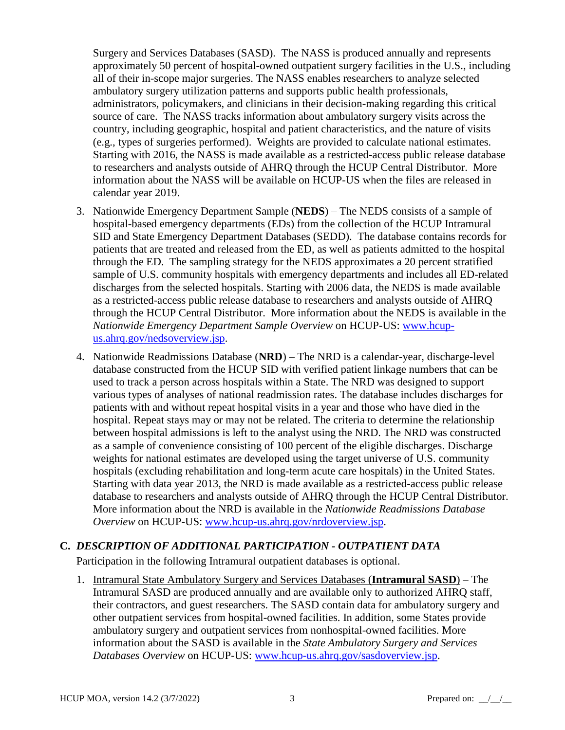Surgery and Services Databases (SASD). The NASS is produced annually and represents approximately 50 percent of hospital-owned outpatient surgery facilities in the U.S., including all of their in-scope major surgeries. The NASS enables researchers to analyze selected ambulatory surgery utilization patterns and supports public health professionals, administrators, policymakers, and clinicians in their decision-making regarding this critical source of care. The NASS tracks information about ambulatory surgery visits across the country, including geographic, hospital and patient characteristics, and the nature of visits (e.g., types of surgeries performed). Weights are provided to calculate national estimates. Starting with 2016, the NASS is made available as a restricted-access public release database to researchers and analysts outside of AHRQ through the HCUP Central Distributor. More information about the NASS will be available on HCUP-US when the files are released in calendar year 2019.

- 3. Nationwide Emergency Department Sample (**NEDS**) The NEDS consists of a sample of hospital-based emergency departments (EDs) from the collection of the HCUP Intramural SID and State Emergency Department Databases (SEDD). The database contains records for patients that are treated and released from the ED, as well as patients admitted to the hospital through the ED. The sampling strategy for the NEDS approximates a 20 percent stratified sample of U.S. community hospitals with emergency departments and includes all ED-related discharges from the selected hospitals. Starting with 2006 data, the NEDS is made available as a restricted-access public release database to researchers and analysts outside of AHRQ through the HCUP Central Distributor. More information about the NEDS is available in the *Nationwide Emergency Department Sample Overview* on HCUP-US: [www.hcup](http://www.hcup-us.ahrq.gov/nedsoverview.jsp)[us.ahrq.gov/nedsoverview.jsp.](http://www.hcup-us.ahrq.gov/nedsoverview.jsp)
- 4. Nationwide Readmissions Database (**NRD**) The NRD is a calendar-year, discharge-level database constructed from the HCUP SID with verified patient linkage numbers that can be used to track a person across hospitals within a State. The NRD was designed to support various types of analyses of national readmission rates. The database includes discharges for patients with and without repeat hospital visits in a year and those who have died in the hospital. Repeat stays may or may not be related. The criteria to determine the relationship between hospital admissions is left to the analyst using the NRD. The NRD was constructed as a sample of convenience consisting of 100 percent of the eligible discharges. Discharge weights for national estimates are developed using the target universe of U.S. community hospitals (excluding rehabilitation and long-term acute care hospitals) in the United States. Starting with data year 2013, the NRD is made available as a restricted-access public release database to researchers and analysts outside of AHRQ through the HCUP Central Distributor. More information about the NRD is available in the *Nationwide Readmissions Database Overview* on HCUP-US: [www.hcup-us.ahrq.gov/nrdoverview.jsp.](http://www.hcup-us.ahrq.gov/nrdoverview.jsp)

### **C.** *DESCRIPTION OF ADDITIONAL PARTICIPATION - OUTPATIENT DATA*

Participation in the following Intramural outpatient databases is optional.

1. Intramural State Ambulatory Surgery and Services Databases (**Intramural SASD**) – The Intramural SASD are produced annually and are available only to authorized AHRQ staff, their contractors, and guest researchers. The SASD contain data for ambulatory surgery and other outpatient services from hospital-owned facilities. In addition, some States provide ambulatory surgery and outpatient services from nonhospital-owned facilities. More information about the SASD is available in the *State Ambulatory Surgery and Services Databases Overview* on HCUP-US: [www.hcup-us.ahrq.gov/sasdoverview.jsp.](http://www.hcup-us.ahrq.gov/sasdoverview.jsp)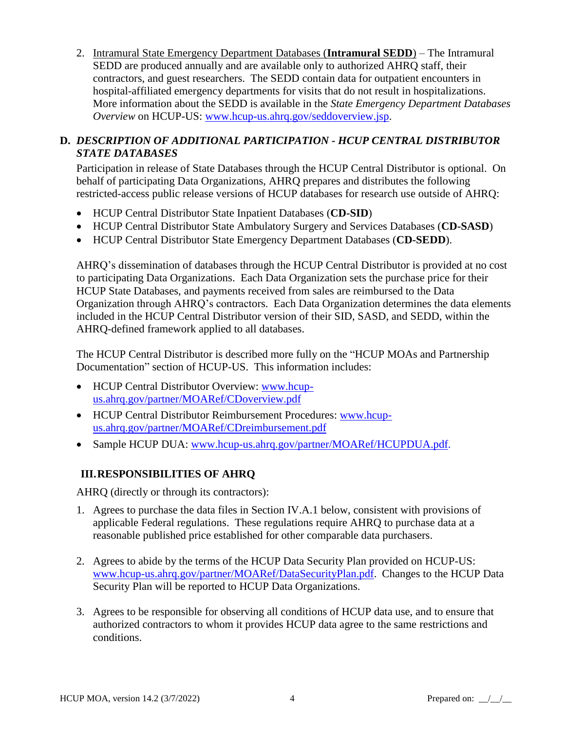2. Intramural State Emergency Department Databases (**Intramural SEDD**) – The Intramural SEDD are produced annually and are available only to authorized AHRQ staff, their contractors, and guest researchers. The SEDD contain data for outpatient encounters in hospital-affiliated emergency departments for visits that do not result in hospitalizations. More information about the SEDD is available in the *State Emergency Department Databases Overview* on HCUP-US: [www.hcup-us.ahrq.gov/seddoverview.jsp.](http://www.hcup-us.ahrq.gov/seddoverview.jsp)

### **D.** *DESCRIPTION OF ADDITIONAL PARTICIPATION - HCUP CENTRAL DISTRIBUTOR STATE DATABASES*

Participation in release of State Databases through the HCUP Central Distributor is optional. On behalf of participating Data Organizations, AHRQ prepares and distributes the following restricted-access public release versions of HCUP databases for research use outside of AHRQ:

- HCUP Central Distributor State Inpatient Databases (**CD-SID**)
- HCUP Central Distributor State Ambulatory Surgery and Services Databases (**CD-SASD**)
- HCUP Central Distributor State Emergency Department Databases (**CD-SEDD**).

AHRQ's dissemination of databases through the HCUP Central Distributor is provided at no cost to participating Data Organizations. Each Data Organization sets the purchase price for their HCUP State Databases, and payments received from sales are reimbursed to the Data Organization through AHRQ's contractors. Each Data Organization determines the data elements included in the HCUP Central Distributor version of their SID, SASD, and SEDD, within the AHRQ-defined framework applied to all databases.

The HCUP Central Distributor is described more fully on the "HCUP MOAs and Partnership Documentation" section of HCUP-US. This information includes:

- HCUP Central Distributor Overview: [www.hcup](http://www.hcup-us.ahrq.gov/partner/MOARef/CDoverview.pdf)[us.ahrq.gov/partner/MOARef/CDoverview.pdf](http://www.hcup-us.ahrq.gov/partner/MOARef/CDoverview.pdf)
- HCUP Central Distributor Reimbursement Procedures: [www.hcup](http://www.hcup-us.ahrq.gov/partner/MOARef/CDreimbursement.pdf)[us.ahrq.gov/partner/MOARef/CDreimbursement.pdf](http://www.hcup-us.ahrq.gov/partner/MOARef/CDreimbursement.pdf)
- Sample HCUP DUA: [www.hcup-us.ahrq.gov/partner/MOARef/HCUPDUA.pdf.](http://www.hcup-us.ahrq.gov/partner/MOARef/HCUPDUA.pdf)

# **III.RESPONSIBILITIES OF AHRQ**

AHRQ (directly or through its contractors):

- 1. Agrees to purchase the data files in Section IV.A.1 below, consistent with provisions of applicable Federal regulations. These regulations require AHRQ to purchase data at a reasonable published price established for other comparable data purchasers.
- 2. Agrees to abide by the terms of the HCUP Data Security Plan provided on HCUP-US: [www.hcup-us.ahrq.gov/partner/MOARef/DataSecurityPlan.pdf.](http://www.hcup-us.ahrq.gov/partner/MOARef/DataSecurityPlan.pdf) Changes to the HCUP Data Security Plan will be reported to HCUP Data Organizations.
- 3. Agrees to be responsible for observing all conditions of HCUP data use, and to ensure that authorized contractors to whom it provides HCUP data agree to the same restrictions and conditions.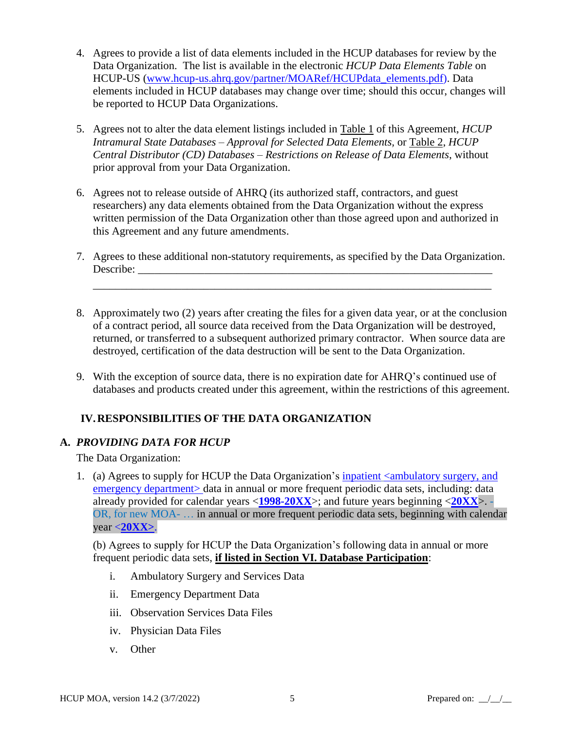- 4. Agrees to provide a list of data elements included in the HCUP databases for review by the Data Organization. The list is available in the electronic *HCUP Data Elements Table* on HCUP-US [\(www.hcup-us.ahrq.gov/partner/MOARef/HCUPdata\\_elements.pdf\)](http://www.hcup-us.ahrq.gov/partner/MOARef/HCUPdata_elements.pdf). Data elements included in HCUP databases may change over time; should this occur, changes will be reported to HCUP Data Organizations.
- 5. Agrees not to alter the data element listings included in Table 1 of this Agreement, *HCUP Intramural State Databases – Approval for Selected Data Elements,* or Table 2, *HCUP Central Distributor (CD) Databases – Restrictions on Release of Data Elements*, without prior approval from your Data Organization.
- 6. Agrees not to release outside of AHRQ (its authorized staff, contractors, and guest researchers) any data elements obtained from the Data Organization without the express written permission of the Data Organization other than those agreed upon and authorized in this Agreement and any future amendments.
- 7. Agrees to these additional non-statutory requirements, as specified by the Data Organization. Describe:

\_\_\_\_\_\_\_\_\_\_\_\_\_\_\_\_\_\_\_\_\_\_\_\_\_\_\_\_\_\_\_\_\_\_\_\_\_\_\_\_\_\_\_\_\_\_\_\_\_\_\_\_\_\_\_\_\_\_\_\_\_\_\_\_\_\_\_\_\_\_\_\_

- 8. Approximately two (2) years after creating the files for a given data year, or at the conclusion of a contract period, all source data received from the Data Organization will be destroyed, returned, or transferred to a subsequent authorized primary contractor. When source data are destroyed, certification of the data destruction will be sent to the Data Organization.
- 9. With the exception of source data, there is no expiration date for AHRQ's continued use of databases and products created under this agreement, within the restrictions of this agreement.

# **IV.RESPONSIBILITIES OF THE DATA ORGANIZATION**

### **A.** *PROVIDING DATA FOR HCUP*

The Data Organization:

1. (a) Agrees to supply for HCUP the Data Organization's inpatient <ambulatory surgery, and emergency department ata in annual or more frequent periodic data sets, including: data already provided for calendar years <**1998-20XX**>; and future years beginning <**20XX**>. - OR, for new MOA- … in annual or more frequent periodic data sets, beginning with calendar year <**20XX>**.

(b) Agrees to supply for HCUP the Data Organization's following data in annual or more frequent periodic data sets, **if listed in Section VI. Database Participation**:

- i. Ambulatory Surgery and Services Data
- ii. Emergency Department Data
- iii. Observation Services Data Files
- iv. Physician Data Files
- v. Other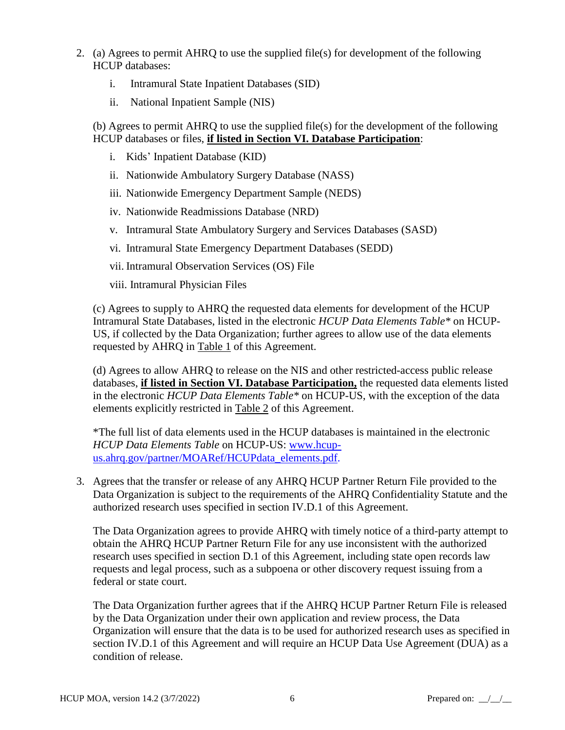- 2. (a) Agrees to permit AHRQ to use the supplied file(s) for development of the following HCUP databases:
	- i. Intramural State Inpatient Databases (SID)
	- ii. National Inpatient Sample (NIS)

(b) Agrees to permit AHRQ to use the supplied file(s) for the development of the following HCUP databases or files, **if listed in Section VI. Database Participation**:

- i. Kids' Inpatient Database (KID)
- ii. Nationwide Ambulatory Surgery Database (NASS)
- iii. Nationwide Emergency Department Sample (NEDS)
- iv. Nationwide Readmissions Database (NRD)
- v. Intramural State Ambulatory Surgery and Services Databases (SASD)
- vi. Intramural State Emergency Department Databases (SEDD)
- vii. Intramural Observation Services (OS) File
- viii. Intramural Physician Files

(c) Agrees to supply to AHRQ the requested data elements for development of the HCUP Intramural State Databases, listed in the electronic *HCUP Data Elements Table\** on HCUP-US, if collected by the Data Organization; further agrees to allow use of the data elements requested by AHRQ in Table 1 of this Agreement.

(d) Agrees to allow AHRQ to release on the NIS and other restricted-access public release databases, **if listed in Section VI. Database Participation,** the requested data elements listed in the electronic *HCUP Data Elements Table\** on HCUP-US, with the exception of the data elements explicitly restricted in Table 2 of this Agreement.

\*The full list of data elements used in the HCUP databases is maintained in the electronic *HCUP Data Elements Table* on HCUP-US: [www.hcup](http://www.hcup-us.ahrq.gov/partner/MOARef/HCUPdata_elements.pdf)[us.ahrq.gov/partner/MOARef/HCUPdata\\_elements.pdf.](http://www.hcup-us.ahrq.gov/partner/MOARef/HCUPdata_elements.pdf)

3. Agrees that the transfer or release of any AHRQ HCUP Partner Return File provided to the Data Organization is subject to the requirements of the AHRQ Confidentiality Statute and the authorized research uses specified in section IV.D.1 of this Agreement.

The Data Organization agrees to provide AHRQ with timely notice of a third-party attempt to obtain the AHRQ HCUP Partner Return File for any use inconsistent with the authorized research uses specified in section D.1 of this Agreement, including state open records law requests and legal process, such as a subpoena or other discovery request issuing from a federal or state court.

The Data Organization further agrees that if the AHRQ HCUP Partner Return File is released by the Data Organization under their own application and review process, the Data Organization will ensure that the data is to be used for authorized research uses as specified in section IV.D.1 of this Agreement and will require an HCUP Data Use Agreement (DUA) as a condition of release.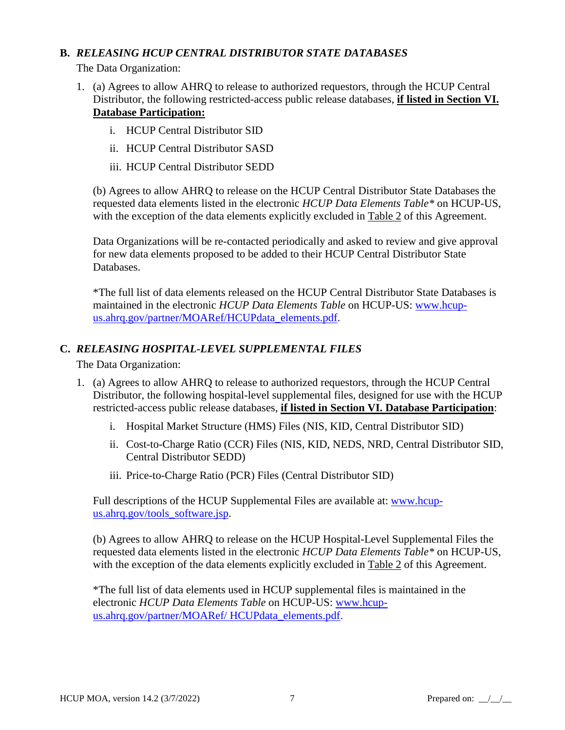## **B.** *RELEASING HCUP CENTRAL DISTRIBUTOR STATE DATABASES*

The Data Organization:

- 1. (a) Agrees to allow AHRQ to release to authorized requestors, through the HCUP Central Distributor, the following restricted-access public release databases, **if listed in Section VI. Database Participation:**
	- i. HCUP Central Distributor SID
	- ii. HCUP Central Distributor SASD
	- iii. HCUP Central Distributor SEDD

(b) Agrees to allow AHRQ to release on the HCUP Central Distributor State Databases the requested data elements listed in the electronic *HCUP Data Elements Table\** on HCUP-US, with the exception of the data elements explicitly excluded in Table 2 of this Agreement.

Data Organizations will be re-contacted periodically and asked to review and give approval for new data elements proposed to be added to their HCUP Central Distributor State Databases.

\*The full list of data elements released on the HCUP Central Distributor State Databases is maintained in the electronic *HCUP Data Elements Table* on HCUP-US: [www.hcup](http://www.hcup-us.ahrq.gov/partner/MOARef/HCUPdata_elements.pdf)[us.ahrq.gov/partner/MOARef/HCUPdata\\_elements.pdf.](http://www.hcup-us.ahrq.gov/partner/MOARef/HCUPdata_elements.pdf)

## **C.** *RELEASING HOSPITAL-LEVEL SUPPLEMENTAL FILES*

The Data Organization:

- 1. (a) Agrees to allow AHRQ to release to authorized requestors, through the HCUP Central Distributor, the following hospital-level supplemental files, designed for use with the HCUP restricted-access public release databases, **if listed in Section VI. Database Participation**:
	- i. Hospital Market Structure (HMS) Files (NIS, KID, Central Distributor SID)
	- ii. Cost-to-Charge Ratio (CCR) Files (NIS, KID, NEDS, NRD, Central Distributor SID, Central Distributor SEDD)
	- iii. Price-to-Charge Ratio (PCR) Files (Central Distributor SID)

Full descriptions of the HCUP Supplemental Files are available at: [www.hcup](http://www.hcup-us.ahrq.gov/tools_software.jsp)[us.ahrq.gov/tools\\_software.jsp.](http://www.hcup-us.ahrq.gov/tools_software.jsp)

(b) Agrees to allow AHRQ to release on the HCUP Hospital-Level Supplemental Files the requested data elements listed in the electronic *HCUP Data Elements Table\** on HCUP-US, with the exception of the data elements explicitly excluded in Table 2 of this Agreement.

\*The full list of data elements used in HCUP supplemental files is maintained in the electronic *HCUP Data Elements Table* on HCUP-US: [www.hcup](http://www.hcup-us.ahrq.gov/partner/MOARef/%20HCUPdata_elements.pdf)[us.ahrq.gov/partner/MOARef/](http://www.hcup-us.ahrq.gov/partner/MOARef/%20HCUPdata_elements.pdf) HCUPdata\_elements.pdf.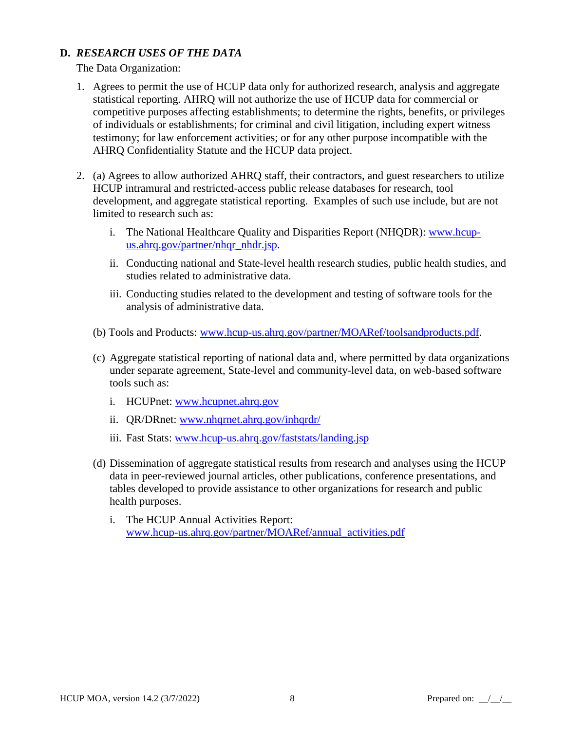## **D.** *RESEARCH USES OF THE DATA*

The Data Organization:

- 1. Agrees to permit the use of HCUP data only for authorized research, analysis and aggregate statistical reporting. AHRQ will not authorize the use of HCUP data for commercial or competitive purposes affecting establishments; to determine the rights, benefits, or privileges of individuals or establishments; for criminal and civil litigation, including expert witness testimony; for law enforcement activities; or for any other purpose incompatible with the AHRQ Confidentiality Statute and the HCUP data project.
- 2. (a) Agrees to allow authorized AHRQ staff, their contractors, and guest researchers to utilize HCUP intramural and restricted-access public release databases for research, tool development, and aggregate statistical reporting. Examples of such use include, but are not limited to research such as:
	- i. The National Healthcare Quality and Disparities Report (NHQDR): [www.hcup](http://www.hcup-us.ahrq.gov/partner/nhqr_nhdr.jsp)[us.ahrq.gov/partner/nhqr\\_nhdr.jsp.](http://www.hcup-us.ahrq.gov/partner/nhqr_nhdr.jsp)
	- ii. Conducting national and State-level health research studies, public health studies, and studies related to administrative data.
	- iii. Conducting studies related to the development and testing of software tools for the analysis of administrative data.
	- (b) Tools and Products: [www.hcup-us.ahrq.gov/partner/MOARef/toolsandproducts.pdf.](http://www.hcup-us.ahrq.gov/partner/MOARef/toolsandproducts.pdf)
	- (c) Aggregate statistical reporting of national data and, where permitted by data organizations under separate agreement, State-level and community-level data, on web-based software tools such as:
		- i. HCUPnet: [www.hcupnet.ahrq.gov](http://www.hcupnet.ahrq.gov/)
		- ii. QR/DRnet: [www.nhqrnet.ahrq.gov/inhqrdr/](https://nhqrnet.ahrq.gov/inhqrdr/)
		- iii. Fast Stats: [www.hcup-us.ahrq.gov/faststats/landing.jsp](http://www.hcup-us.ahrq.gov/faststats/landing.jsp)
	- (d) Dissemination of aggregate statistical results from research and analyses using the HCUP data in peer-reviewed journal articles, other publications, conference presentations, and tables developed to provide assistance to other organizations for research and public health purposes.
		- i. The HCUP Annual Activities Report: [www.hcup-us.ahrq.gov/partner/MOARef/annual\\_activities.pdf](http://www.hcup-us.ahrq.gov/partner/MOARef/annual_activities.pdf)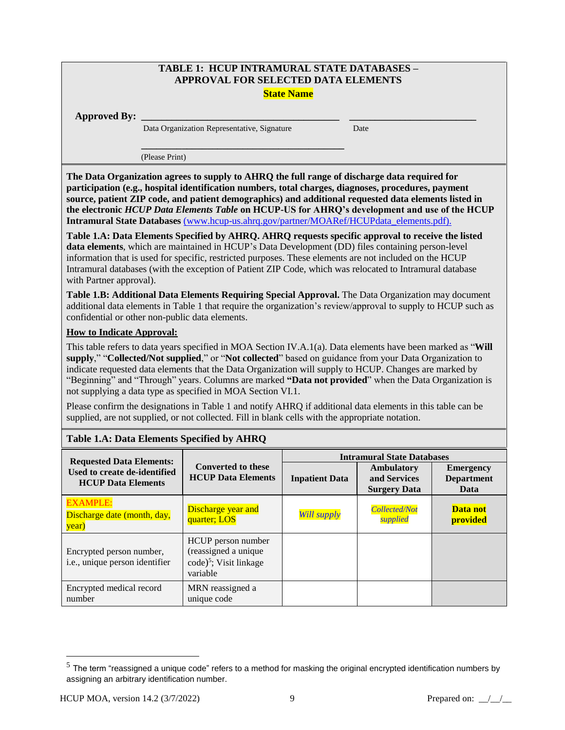| TABLE 1: HCUP INTRAMURAL STATE DATABASES – |
|--------------------------------------------|
| APPROVAL FOR SELECTED DATA ELEMENTS        |
| <b>State Name</b>                          |

#### Approved By:

Data Organization Representative, Signature Date

**\_\_\_\_\_\_\_\_\_\_\_\_\_\_\_\_\_\_\_\_\_\_\_\_\_\_\_\_\_\_\_\_\_\_\_\_\_\_\_\_**

(Please Print)

**The Data Organization agrees to supply to AHRQ the full range of discharge data required for participation (e.g., hospital identification numbers, total charges, diagnoses, procedures, payment source, patient ZIP code, and patient demographics) and additional requested data elements listed in the electronic** *HCUP Data Elements Table* **on HCUP-US for AHRQ's development and use of the HCUP Intramural State Databases** [\(www.hcup-us.ahrq.gov/partner/MOARef/HCUPdata\\_elements.pdf\).](https://www.hcup-us.ahrq.gov/partner/MOARef/HCUPdata_elements.pdf)

**Table 1.A: Data Elements Specified by AHRQ. AHRQ requests specific approval to receive the listed data elements**, which are maintained in HCUP's Data Development (DD) files containing person-level information that is used for specific, restricted purposes. These elements are not included on the HCUP Intramural databases (with the exception of Patient ZIP Code, which was relocated to Intramural database with Partner approval).

**Table 1.B: Additional Data Elements Requiring Special Approval.** The Data Organization may document additional data elements in Table 1 that require the organization's review/approval to supply to HCUP such as confidential or other non-public data elements.

#### **How to Indicate Approval:**

This table refers to data years specified in MOA Section IV.A.1(a). Data elements have been marked as "**Will supply**," "**Collected/Not supplied**," or "**Not collected**" based on guidance from your Data Organization to indicate requested data elements that the Data Organization will supply to HCUP. Changes are marked by "Beginning" and "Through" years. Columns are marked **"Data not provided**" when the Data Organization is not supplying a data type as specified in MOA Section VI.1.

Please confirm the designations in Table 1 and notify AHRQ if additional data elements in this table can be supplied, are not supplied, or not collected. Fill in blank cells with the appropriate notation.

| <b>Requested Data Elements:</b>                                  |                                                                                              | <b>Intramural State Databases</b> |                                                   |                                               |  |  |
|------------------------------------------------------------------|----------------------------------------------------------------------------------------------|-----------------------------------|---------------------------------------------------|-----------------------------------------------|--|--|
| <b>Used to create de-identified</b><br><b>HCUP Data Elements</b> | <b>Converted to these</b><br><b>HCUP Data Elements</b>                                       | <b>Inpatient Data</b>             | Ambulatory<br>and Services<br><b>Surgery Data</b> | <b>Emergency</b><br><b>Department</b><br>Data |  |  |
| <b>EXAMPLE:</b><br>Discharge date (month, day,<br>year)          | Discharge year and<br>quarter; LOS                                                           | <b>Will supply</b>                | <b>Collected/Not</b><br>supplied                  | <b>Data not</b><br>provided                   |  |  |
| Encrypted person number,<br>i.e., unique person identifier       | HCUP person number<br>(reassigned a unique<br>code) <sup>5</sup> ; Visit linkage<br>variable |                                   |                                                   |                                               |  |  |
| Encrypted medical record<br>number                               | MRN reassigned a<br>unique code                                                              |                                   |                                                   |                                               |  |  |

### **Table 1.A: Data Elements Specified by AHRQ**

 $\overline{a}$ 

 $^5$  The term "reassigned a unique code" refers to a method for masking the original encrypted identification numbers by assigning an arbitrary identification number.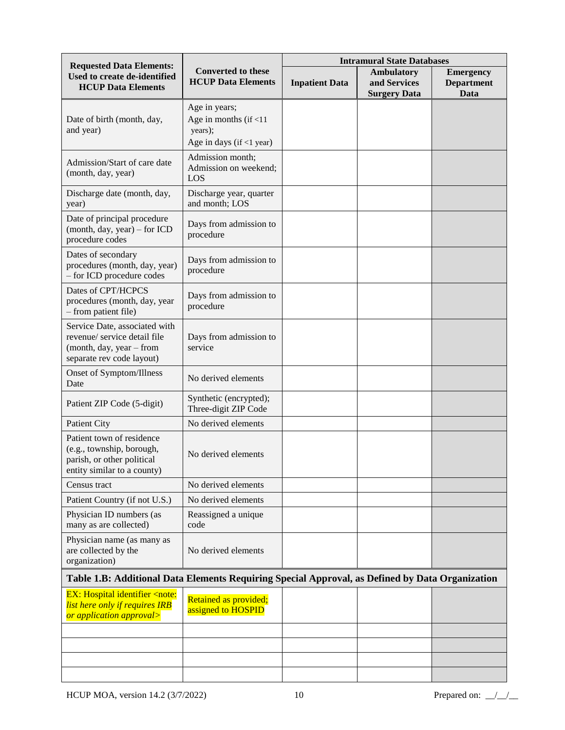| <b>Requested Data Elements:</b>                                                                                        |                                                                                     |                       | <b>Intramural State Databases</b>                        |                                                      |  |  |
|------------------------------------------------------------------------------------------------------------------------|-------------------------------------------------------------------------------------|-----------------------|----------------------------------------------------------|------------------------------------------------------|--|--|
| Used to create de-identified<br><b>HCUP Data Elements</b>                                                              | <b>Converted to these</b><br><b>HCUP Data Elements</b>                              | <b>Inpatient Data</b> | <b>Ambulatory</b><br>and Services<br><b>Surgery Data</b> | <b>Emergency</b><br><b>Department</b><br><b>Data</b> |  |  |
| Date of birth (month, day,<br>and year)                                                                                | Age in years;<br>Age in months $(if < 11$<br>years);<br>Age in days (if $<$ 1 year) |                       |                                                          |                                                      |  |  |
| Admission/Start of care date<br>(month, day, year)                                                                     | Admission month;<br>Admission on weekend;<br>LOS                                    |                       |                                                          |                                                      |  |  |
| Discharge date (month, day,<br>year)                                                                                   | Discharge year, quarter<br>and month; LOS                                           |                       |                                                          |                                                      |  |  |
| Date of principal procedure<br>(month, day, year) – for $\text{ICD}$<br>procedure codes                                | Days from admission to<br>procedure                                                 |                       |                                                          |                                                      |  |  |
| Dates of secondary<br>procedures (month, day, year)<br>- for ICD procedure codes                                       | Days from admission to<br>procedure                                                 |                       |                                                          |                                                      |  |  |
| Dates of CPT/HCPCS<br>procedures (month, day, year<br>- from patient file)                                             | Days from admission to<br>procedure                                                 |                       |                                                          |                                                      |  |  |
| Service Date, associated with<br>revenue/ service detail file<br>(month, day, year – from<br>separate rev code layout) | Days from admission to<br>service                                                   |                       |                                                          |                                                      |  |  |
| Onset of Symptom/Illness<br>Date                                                                                       | No derived elements                                                                 |                       |                                                          |                                                      |  |  |
| Patient ZIP Code (5-digit)                                                                                             | Synthetic (encrypted);<br>Three-digit ZIP Code                                      |                       |                                                          |                                                      |  |  |
| Patient City                                                                                                           | No derived elements                                                                 |                       |                                                          |                                                      |  |  |
| Patient town of residence<br>(e.g., township, borough,<br>parish, or other political<br>entity similar to a county)    | No derived elements                                                                 |                       |                                                          |                                                      |  |  |
| Census tract                                                                                                           | No derived elements                                                                 |                       |                                                          |                                                      |  |  |
| Patient Country (if not U.S.)                                                                                          | No derived elements                                                                 |                       |                                                          |                                                      |  |  |
| Physician ID numbers (as<br>many as are collected)                                                                     | Reassigned a unique<br>code                                                         |                       |                                                          |                                                      |  |  |
| Physician name (as many as<br>are collected by the<br>organization)                                                    | No derived elements                                                                 |                       |                                                          |                                                      |  |  |
| Table 1.B: Additional Data Elements Requiring Special Approval, as Defined by Data Organization                        |                                                                                     |                       |                                                          |                                                      |  |  |
| EX: Hospital identifier <note:<br>list here only if requires IRB<br/>or application approval&gt;</note:<br>            | Retained as provided;<br>assigned to HOSPID                                         |                       |                                                          |                                                      |  |  |
|                                                                                                                        |                                                                                     |                       |                                                          |                                                      |  |  |
|                                                                                                                        |                                                                                     |                       |                                                          |                                                      |  |  |
|                                                                                                                        |                                                                                     |                       |                                                          |                                                      |  |  |
|                                                                                                                        |                                                                                     |                       |                                                          |                                                      |  |  |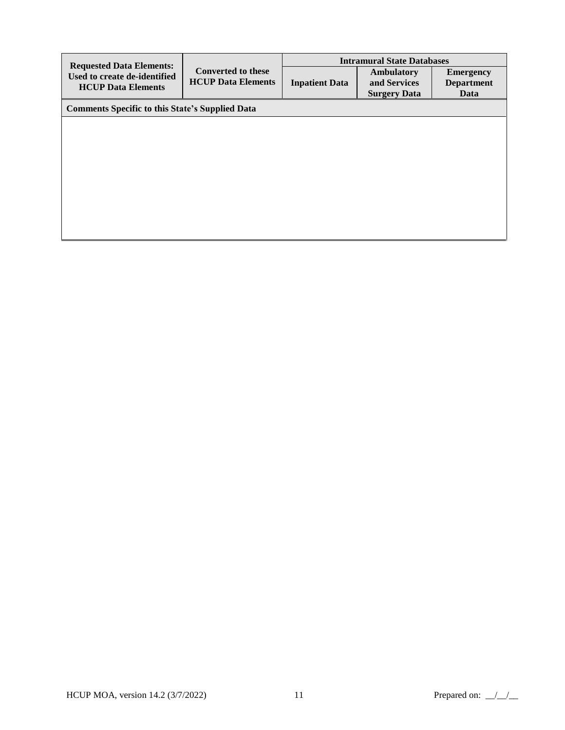| <b>Requested Data Elements:</b>                        |                           | <b>Intramural State Databases</b> |                     |                   |  |  |  |  |
|--------------------------------------------------------|---------------------------|-----------------------------------|---------------------|-------------------|--|--|--|--|
| Used to create de-identified                           | <b>Converted to these</b> |                                   | Ambulatory          | <b>Emergency</b>  |  |  |  |  |
| <b>HCUP Data Elements</b>                              | <b>HCUP Data Elements</b> | <b>Inpatient Data</b>             | and Services        | <b>Department</b> |  |  |  |  |
|                                                        |                           |                                   | <b>Surgery Data</b> | Data              |  |  |  |  |
| <b>Comments Specific to this State's Supplied Data</b> |                           |                                   |                     |                   |  |  |  |  |
|                                                        |                           |                                   |                     |                   |  |  |  |  |
|                                                        |                           |                                   |                     |                   |  |  |  |  |
|                                                        |                           |                                   |                     |                   |  |  |  |  |
|                                                        |                           |                                   |                     |                   |  |  |  |  |
|                                                        |                           |                                   |                     |                   |  |  |  |  |
|                                                        |                           |                                   |                     |                   |  |  |  |  |
|                                                        |                           |                                   |                     |                   |  |  |  |  |
|                                                        |                           |                                   |                     |                   |  |  |  |  |
|                                                        |                           |                                   |                     |                   |  |  |  |  |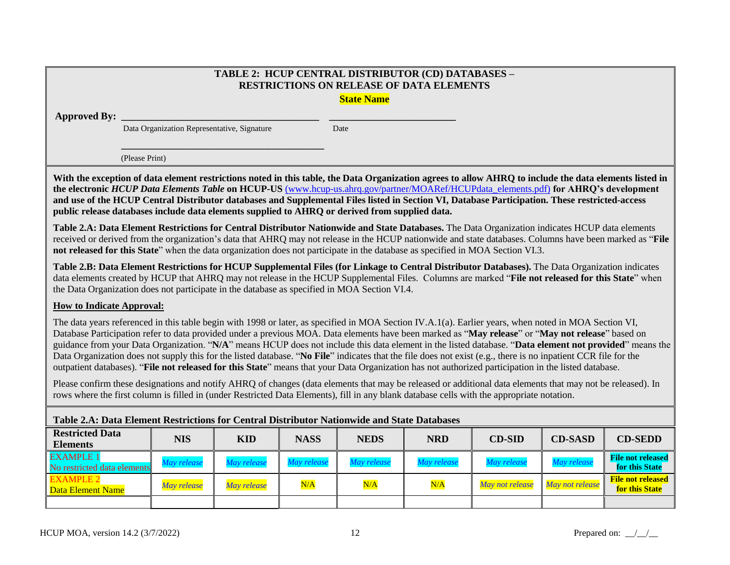| <b>RESTRICTIONS ON RELEASE OF DATA ELEMENTS</b><br><b>State Name</b><br><b>Approved By:</b><br>Data Organization Representative, Signature<br>Date<br>(Please Print)<br>With the exception of data element restrictions noted in this table, the Data Organization agrees to allow AHRQ to include the data elements listed in<br>the electronic HCUP Data Elements Table on HCUP-US (www.hcup-us.ahrq.gov/partner/MOARef/HCUPdata_elements.pdf) for AHRQ's development<br>and use of the HCUP Central Distributor databases and Supplemental Files listed in Section VI, Database Participation. These restricted-access<br>public release databases include data elements supplied to AHRQ or derived from supplied data.<br>Table 2.A: Data Element Restrictions for Central Distributor Nationwide and State Databases. The Data Organization indicates HCUP data elements<br>received or derived from the organization's data that AHRQ may not release in the HCUP nationwide and state databases. Columns have been marked as "File<br>not released for this State" when the data organization does not participate in the database as specified in MOA Section VI.3.<br>Table 2.B: Data Element Restrictions for HCUP Supplemental Files (for Linkage to Central Distributor Databases). The Data Organization indicates<br>data elements created by HCUP that AHRQ may not release in the HCUP Supplemental Files. Columns are marked "File not released for this State" when<br>the Data Organization does not participate in the database as specified in MOA Section VI.4.<br><b>How to Indicate Approval:</b><br>The data years referenced in this table begin with 1998 or later, as specified in MOA Section IV.A.1(a). Earlier years, when noted in MOA Section VI,<br>Database Participation refer to data provided under a previous MOA. Data elements have been marked as "May release" or "May not release" based on<br>guidance from your Data Organization. "N/A" means HCUP does not include this data element in the listed database. "Data element not provided" means the<br>Data Organization does not supply this for the listed database. "No File" indicates that the file does not exist (e.g., there is no inpatient CCR file for the<br>outpatient databases). "File not released for this State" means that your Data Organization has not authorized participation in the listed database.<br>Please confirm these designations and notify AHRQ of changes (data elements that may be released or additional data elements that may not be released). In<br>rows where the first column is filled in (under Restricted Data Elements), fill in any blank database cells with the appropriate notation. |                                                    |  |  |  |  |  |  |  |  |
|-------------------------------------------------------------------------------------------------------------------------------------------------------------------------------------------------------------------------------------------------------------------------------------------------------------------------------------------------------------------------------------------------------------------------------------------------------------------------------------------------------------------------------------------------------------------------------------------------------------------------------------------------------------------------------------------------------------------------------------------------------------------------------------------------------------------------------------------------------------------------------------------------------------------------------------------------------------------------------------------------------------------------------------------------------------------------------------------------------------------------------------------------------------------------------------------------------------------------------------------------------------------------------------------------------------------------------------------------------------------------------------------------------------------------------------------------------------------------------------------------------------------------------------------------------------------------------------------------------------------------------------------------------------------------------------------------------------------------------------------------------------------------------------------------------------------------------------------------------------------------------------------------------------------------------------------------------------------------------------------------------------------------------------------------------------------------------------------------------------------------------------------------------------------------------------------------------------------------------------------------------------------------------------------------------------------------------------------------------------------------------------------------------------------------------------------------------------------------------------------------------------------------------------------------------------------------------------------------------------------------------------------------------------------------------------------------------------------------------------------|----------------------------------------------------|--|--|--|--|--|--|--|--|
|                                                                                                                                                                                                                                                                                                                                                                                                                                                                                                                                                                                                                                                                                                                                                                                                                                                                                                                                                                                                                                                                                                                                                                                                                                                                                                                                                                                                                                                                                                                                                                                                                                                                                                                                                                                                                                                                                                                                                                                                                                                                                                                                                                                                                                                                                                                                                                                                                                                                                                                                                                                                                                                                                                                                           | TABLE 2: HCUP CENTRAL DISTRIBUTOR (CD) DATABASES - |  |  |  |  |  |  |  |  |
|                                                                                                                                                                                                                                                                                                                                                                                                                                                                                                                                                                                                                                                                                                                                                                                                                                                                                                                                                                                                                                                                                                                                                                                                                                                                                                                                                                                                                                                                                                                                                                                                                                                                                                                                                                                                                                                                                                                                                                                                                                                                                                                                                                                                                                                                                                                                                                                                                                                                                                                                                                                                                                                                                                                                           |                                                    |  |  |  |  |  |  |  |  |
|                                                                                                                                                                                                                                                                                                                                                                                                                                                                                                                                                                                                                                                                                                                                                                                                                                                                                                                                                                                                                                                                                                                                                                                                                                                                                                                                                                                                                                                                                                                                                                                                                                                                                                                                                                                                                                                                                                                                                                                                                                                                                                                                                                                                                                                                                                                                                                                                                                                                                                                                                                                                                                                                                                                                           |                                                    |  |  |  |  |  |  |  |  |
|                                                                                                                                                                                                                                                                                                                                                                                                                                                                                                                                                                                                                                                                                                                                                                                                                                                                                                                                                                                                                                                                                                                                                                                                                                                                                                                                                                                                                                                                                                                                                                                                                                                                                                                                                                                                                                                                                                                                                                                                                                                                                                                                                                                                                                                                                                                                                                                                                                                                                                                                                                                                                                                                                                                                           |                                                    |  |  |  |  |  |  |  |  |
|                                                                                                                                                                                                                                                                                                                                                                                                                                                                                                                                                                                                                                                                                                                                                                                                                                                                                                                                                                                                                                                                                                                                                                                                                                                                                                                                                                                                                                                                                                                                                                                                                                                                                                                                                                                                                                                                                                                                                                                                                                                                                                                                                                                                                                                                                                                                                                                                                                                                                                                                                                                                                                                                                                                                           |                                                    |  |  |  |  |  |  |  |  |
|                                                                                                                                                                                                                                                                                                                                                                                                                                                                                                                                                                                                                                                                                                                                                                                                                                                                                                                                                                                                                                                                                                                                                                                                                                                                                                                                                                                                                                                                                                                                                                                                                                                                                                                                                                                                                                                                                                                                                                                                                                                                                                                                                                                                                                                                                                                                                                                                                                                                                                                                                                                                                                                                                                                                           |                                                    |  |  |  |  |  |  |  |  |
|                                                                                                                                                                                                                                                                                                                                                                                                                                                                                                                                                                                                                                                                                                                                                                                                                                                                                                                                                                                                                                                                                                                                                                                                                                                                                                                                                                                                                                                                                                                                                                                                                                                                                                                                                                                                                                                                                                                                                                                                                                                                                                                                                                                                                                                                                                                                                                                                                                                                                                                                                                                                                                                                                                                                           |                                                    |  |  |  |  |  |  |  |  |
|                                                                                                                                                                                                                                                                                                                                                                                                                                                                                                                                                                                                                                                                                                                                                                                                                                                                                                                                                                                                                                                                                                                                                                                                                                                                                                                                                                                                                                                                                                                                                                                                                                                                                                                                                                                                                                                                                                                                                                                                                                                                                                                                                                                                                                                                                                                                                                                                                                                                                                                                                                                                                                                                                                                                           |                                                    |  |  |  |  |  |  |  |  |
|                                                                                                                                                                                                                                                                                                                                                                                                                                                                                                                                                                                                                                                                                                                                                                                                                                                                                                                                                                                                                                                                                                                                                                                                                                                                                                                                                                                                                                                                                                                                                                                                                                                                                                                                                                                                                                                                                                                                                                                                                                                                                                                                                                                                                                                                                                                                                                                                                                                                                                                                                                                                                                                                                                                                           |                                                    |  |  |  |  |  |  |  |  |
|                                                                                                                                                                                                                                                                                                                                                                                                                                                                                                                                                                                                                                                                                                                                                                                                                                                                                                                                                                                                                                                                                                                                                                                                                                                                                                                                                                                                                                                                                                                                                                                                                                                                                                                                                                                                                                                                                                                                                                                                                                                                                                                                                                                                                                                                                                                                                                                                                                                                                                                                                                                                                                                                                                                                           |                                                    |  |  |  |  |  |  |  |  |
|                                                                                                                                                                                                                                                                                                                                                                                                                                                                                                                                                                                                                                                                                                                                                                                                                                                                                                                                                                                                                                                                                                                                                                                                                                                                                                                                                                                                                                                                                                                                                                                                                                                                                                                                                                                                                                                                                                                                                                                                                                                                                                                                                                                                                                                                                                                                                                                                                                                                                                                                                                                                                                                                                                                                           |                                                    |  |  |  |  |  |  |  |  |
|                                                                                                                                                                                                                                                                                                                                                                                                                                                                                                                                                                                                                                                                                                                                                                                                                                                                                                                                                                                                                                                                                                                                                                                                                                                                                                                                                                                                                                                                                                                                                                                                                                                                                                                                                                                                                                                                                                                                                                                                                                                                                                                                                                                                                                                                                                                                                                                                                                                                                                                                                                                                                                                                                                                                           |                                                    |  |  |  |  |  |  |  |  |
|                                                                                                                                                                                                                                                                                                                                                                                                                                                                                                                                                                                                                                                                                                                                                                                                                                                                                                                                                                                                                                                                                                                                                                                                                                                                                                                                                                                                                                                                                                                                                                                                                                                                                                                                                                                                                                                                                                                                                                                                                                                                                                                                                                                                                                                                                                                                                                                                                                                                                                                                                                                                                                                                                                                                           |                                                    |  |  |  |  |  |  |  |  |
|                                                                                                                                                                                                                                                                                                                                                                                                                                                                                                                                                                                                                                                                                                                                                                                                                                                                                                                                                                                                                                                                                                                                                                                                                                                                                                                                                                                                                                                                                                                                                                                                                                                                                                                                                                                                                                                                                                                                                                                                                                                                                                                                                                                                                                                                                                                                                                                                                                                                                                                                                                                                                                                                                                                                           |                                                    |  |  |  |  |  |  |  |  |
|                                                                                                                                                                                                                                                                                                                                                                                                                                                                                                                                                                                                                                                                                                                                                                                                                                                                                                                                                                                                                                                                                                                                                                                                                                                                                                                                                                                                                                                                                                                                                                                                                                                                                                                                                                                                                                                                                                                                                                                                                                                                                                                                                                                                                                                                                                                                                                                                                                                                                                                                                                                                                                                                                                                                           |                                                    |  |  |  |  |  |  |  |  |
|                                                                                                                                                                                                                                                                                                                                                                                                                                                                                                                                                                                                                                                                                                                                                                                                                                                                                                                                                                                                                                                                                                                                                                                                                                                                                                                                                                                                                                                                                                                                                                                                                                                                                                                                                                                                                                                                                                                                                                                                                                                                                                                                                                                                                                                                                                                                                                                                                                                                                                                                                                                                                                                                                                                                           |                                                    |  |  |  |  |  |  |  |  |
|                                                                                                                                                                                                                                                                                                                                                                                                                                                                                                                                                                                                                                                                                                                                                                                                                                                                                                                                                                                                                                                                                                                                                                                                                                                                                                                                                                                                                                                                                                                                                                                                                                                                                                                                                                                                                                                                                                                                                                                                                                                                                                                                                                                                                                                                                                                                                                                                                                                                                                                                                                                                                                                                                                                                           |                                                    |  |  |  |  |  |  |  |  |
|                                                                                                                                                                                                                                                                                                                                                                                                                                                                                                                                                                                                                                                                                                                                                                                                                                                                                                                                                                                                                                                                                                                                                                                                                                                                                                                                                                                                                                                                                                                                                                                                                                                                                                                                                                                                                                                                                                                                                                                                                                                                                                                                                                                                                                                                                                                                                                                                                                                                                                                                                                                                                                                                                                                                           |                                                    |  |  |  |  |  |  |  |  |
|                                                                                                                                                                                                                                                                                                                                                                                                                                                                                                                                                                                                                                                                                                                                                                                                                                                                                                                                                                                                                                                                                                                                                                                                                                                                                                                                                                                                                                                                                                                                                                                                                                                                                                                                                                                                                                                                                                                                                                                                                                                                                                                                                                                                                                                                                                                                                                                                                                                                                                                                                                                                                                                                                                                                           |                                                    |  |  |  |  |  |  |  |  |
|                                                                                                                                                                                                                                                                                                                                                                                                                                                                                                                                                                                                                                                                                                                                                                                                                                                                                                                                                                                                                                                                                                                                                                                                                                                                                                                                                                                                                                                                                                                                                                                                                                                                                                                                                                                                                                                                                                                                                                                                                                                                                                                                                                                                                                                                                                                                                                                                                                                                                                                                                                                                                                                                                                                                           |                                                    |  |  |  |  |  |  |  |  |
|                                                                                                                                                                                                                                                                                                                                                                                                                                                                                                                                                                                                                                                                                                                                                                                                                                                                                                                                                                                                                                                                                                                                                                                                                                                                                                                                                                                                                                                                                                                                                                                                                                                                                                                                                                                                                                                                                                                                                                                                                                                                                                                                                                                                                                                                                                                                                                                                                                                                                                                                                                                                                                                                                                                                           |                                                    |  |  |  |  |  |  |  |  |
|                                                                                                                                                                                                                                                                                                                                                                                                                                                                                                                                                                                                                                                                                                                                                                                                                                                                                                                                                                                                                                                                                                                                                                                                                                                                                                                                                                                                                                                                                                                                                                                                                                                                                                                                                                                                                                                                                                                                                                                                                                                                                                                                                                                                                                                                                                                                                                                                                                                                                                                                                                                                                                                                                                                                           |                                                    |  |  |  |  |  |  |  |  |
|                                                                                                                                                                                                                                                                                                                                                                                                                                                                                                                                                                                                                                                                                                                                                                                                                                                                                                                                                                                                                                                                                                                                                                                                                                                                                                                                                                                                                                                                                                                                                                                                                                                                                                                                                                                                                                                                                                                                                                                                                                                                                                                                                                                                                                                                                                                                                                                                                                                                                                                                                                                                                                                                                                                                           |                                                    |  |  |  |  |  |  |  |  |
| Table 2.A: Data Element Restrictions for Central Distributor Nationwide and State Databases                                                                                                                                                                                                                                                                                                                                                                                                                                                                                                                                                                                                                                                                                                                                                                                                                                                                                                                                                                                                                                                                                                                                                                                                                                                                                                                                                                                                                                                                                                                                                                                                                                                                                                                                                                                                                                                                                                                                                                                                                                                                                                                                                                                                                                                                                                                                                                                                                                                                                                                                                                                                                                               |                                                    |  |  |  |  |  |  |  |  |
| <b>Restricted Data</b><br><b>CD-SID</b><br><b>CD-SASD</b><br><b>CD-SEDD</b><br><b>NIS</b><br><b>KID</b><br><b>NASS</b><br><b>NEDS</b><br><b>NRD</b>                                                                                                                                                                                                                                                                                                                                                                                                                                                                                                                                                                                                                                                                                                                                                                                                                                                                                                                                                                                                                                                                                                                                                                                                                                                                                                                                                                                                                                                                                                                                                                                                                                                                                                                                                                                                                                                                                                                                                                                                                                                                                                                                                                                                                                                                                                                                                                                                                                                                                                                                                                                       |                                                    |  |  |  |  |  |  |  |  |
| <b>Elements</b>                                                                                                                                                                                                                                                                                                                                                                                                                                                                                                                                                                                                                                                                                                                                                                                                                                                                                                                                                                                                                                                                                                                                                                                                                                                                                                                                                                                                                                                                                                                                                                                                                                                                                                                                                                                                                                                                                                                                                                                                                                                                                                                                                                                                                                                                                                                                                                                                                                                                                                                                                                                                                                                                                                                           |                                                    |  |  |  |  |  |  |  |  |
| <b>File not released</b><br>May release<br>May release<br>May release<br>May release<br>May release<br>May release<br>May release<br>No restricted data elements<br>for this State                                                                                                                                                                                                                                                                                                                                                                                                                                                                                                                                                                                                                                                                                                                                                                                                                                                                                                                                                                                                                                                                                                                                                                                                                                                                                                                                                                                                                                                                                                                                                                                                                                                                                                                                                                                                                                                                                                                                                                                                                                                                                                                                                                                                                                                                                                                                                                                                                                                                                                                                                        | <b>EXAMPLE 1</b>                                   |  |  |  |  |  |  |  |  |
| <b>File not released</b><br>N/A<br>N/A<br>N/A<br>May not release<br>May release<br>May not release<br>May release<br>for this State<br><b>Data Element Name</b>                                                                                                                                                                                                                                                                                                                                                                                                                                                                                                                                                                                                                                                                                                                                                                                                                                                                                                                                                                                                                                                                                                                                                                                                                                                                                                                                                                                                                                                                                                                                                                                                                                                                                                                                                                                                                                                                                                                                                                                                                                                                                                                                                                                                                                                                                                                                                                                                                                                                                                                                                                           | <b>EXAMPLE 2</b>                                   |  |  |  |  |  |  |  |  |
|                                                                                                                                                                                                                                                                                                                                                                                                                                                                                                                                                                                                                                                                                                                                                                                                                                                                                                                                                                                                                                                                                                                                                                                                                                                                                                                                                                                                                                                                                                                                                                                                                                                                                                                                                                                                                                                                                                                                                                                                                                                                                                                                                                                                                                                                                                                                                                                                                                                                                                                                                                                                                                                                                                                                           |                                                    |  |  |  |  |  |  |  |  |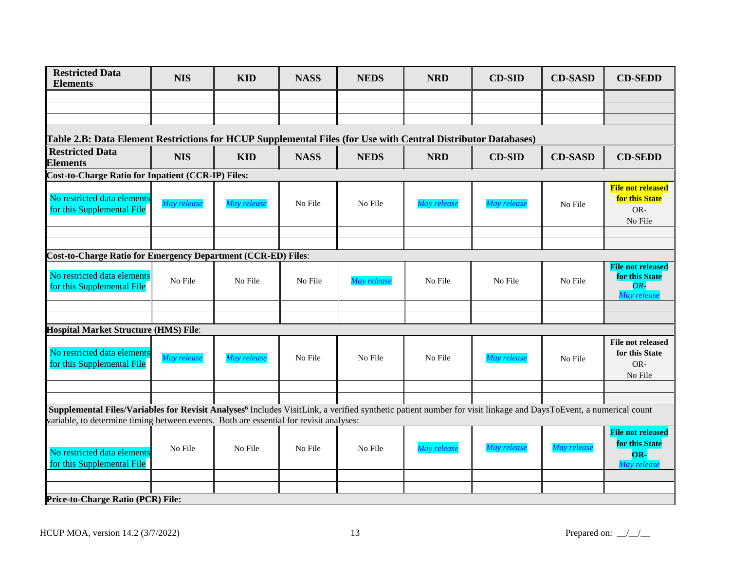| <b>Restricted Data</b><br><b>Elements</b>                                                                                                                                   | <b>NIS</b>  | <b>KID</b>  | <b>NASS</b> | <b>NEDS</b> | <b>NRD</b>  | <b>CD-SID</b> | <b>CD-SASD</b> | <b>CD-SEDD</b>                                                   |
|-----------------------------------------------------------------------------------------------------------------------------------------------------------------------------|-------------|-------------|-------------|-------------|-------------|---------------|----------------|------------------------------------------------------------------|
|                                                                                                                                                                             |             |             |             |             |             |               |                |                                                                  |
|                                                                                                                                                                             |             |             |             |             |             |               |                |                                                                  |
|                                                                                                                                                                             |             |             |             |             |             |               |                |                                                                  |
| Table 2.B: Data Element Restrictions for HCUP Supplemental Files (for Use with Central Distributor Databases)                                                               |             |             |             |             |             |               |                |                                                                  |
| <b>Restricted Data</b><br><b>Elements</b>                                                                                                                                   | <b>NIS</b>  | <b>KID</b>  | <b>NASS</b> | <b>NEDS</b> | <b>NRD</b>  | <b>CD-SID</b> | <b>CD-SASD</b> | <b>CD-SEDD</b>                                                   |
| Cost-to-Charge Ratio for Inpatient (CCR-IP) Files:                                                                                                                          |             |             |             |             |             |               |                |                                                                  |
| No restricted data elements<br>for this Supplemental File                                                                                                                   | May release | May release | No File     | No File     | May release | May release   | No File        | <b>File not released</b><br>for this State<br>OR-<br>No File     |
|                                                                                                                                                                             |             |             |             |             |             |               |                |                                                                  |
|                                                                                                                                                                             |             |             |             |             |             |               |                |                                                                  |
| Cost-to-Charge Ratio for Emergency Department (CCR-ED) Files:                                                                                                               |             |             |             |             |             |               |                | <b>File not released</b>                                         |
| No restricted data elements<br>for this Supplemental File                                                                                                                   | No File     | No File     | No File     | May release | No File     | No File       | No File        | for this State<br>$OR-$<br>May release                           |
|                                                                                                                                                                             |             |             |             |             |             |               |                |                                                                  |
|                                                                                                                                                                             |             |             |             |             |             |               |                |                                                                  |
| Hospital Market Structure (HMS) File:                                                                                                                                       |             |             |             |             |             |               |                |                                                                  |
| No restricted data elements<br>for this Supplemental File                                                                                                                   | May release | May release | No File     | No File     | No File     | May release   | No File        | File not released<br>for this State<br>OR-<br>No File            |
|                                                                                                                                                                             |             |             |             |             |             |               |                |                                                                  |
| Supplemental Files/Variables for Revisit Analyses <sup>6</sup> Includes VisitLink, a verified synthetic patient number for visit linkage and DaysToEvent, a numerical count |             |             |             |             |             |               |                |                                                                  |
| variable, to determine timing between events. Both are essential for revisit analyses:                                                                                      |             |             |             |             |             |               |                |                                                                  |
| No restricted data elements<br>for this Supplemental File                                                                                                                   | No File     | No File     | No File     | No File     | May release | May release   | May release    | <b>File not released</b><br>for this State<br>OR-<br>May release |
|                                                                                                                                                                             |             |             |             |             |             |               |                |                                                                  |
| Price-to-Charge Ratio (PCR) File:                                                                                                                                           |             |             |             |             |             |               |                |                                                                  |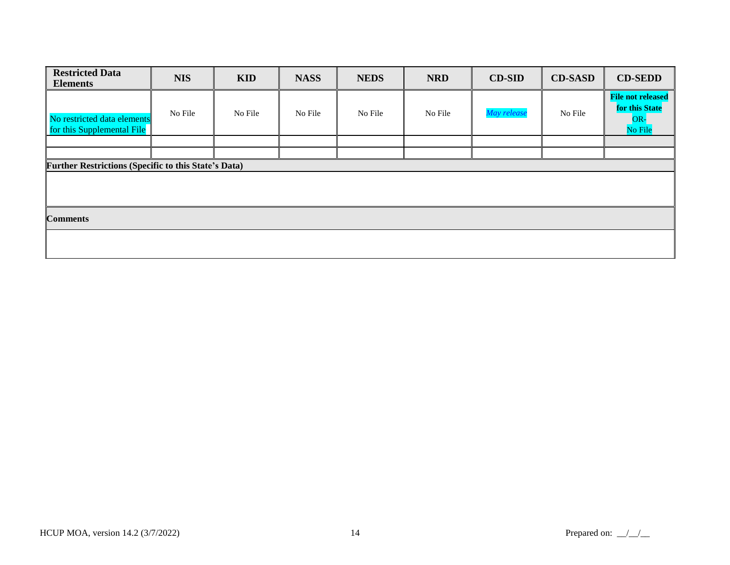| <b>Restricted Data</b><br><b>Elements</b>                 | <b>NIS</b>                                                  | <b>KID</b> | <b>NASS</b> | <b>NEDS</b> | <b>NRD</b> | <b>CD-SID</b> | <b>CD-SASD</b> | <b>CD-SEDD</b>                                               |
|-----------------------------------------------------------|-------------------------------------------------------------|------------|-------------|-------------|------------|---------------|----------------|--------------------------------------------------------------|
| No restricted data elements<br>for this Supplemental File | No File                                                     | No File    | No File     | No File     | No File    | May release   | No File        | <b>File not released</b><br>for this State<br>OR-<br>No File |
|                                                           |                                                             |            |             |             |            |               |                |                                                              |
|                                                           |                                                             |            |             |             |            |               |                |                                                              |
|                                                           | <b>Further Restrictions (Specific to this State's Data)</b> |            |             |             |            |               |                |                                                              |
|                                                           |                                                             |            |             |             |            |               |                |                                                              |
| <b>Comments</b>                                           |                                                             |            |             |             |            |               |                |                                                              |
|                                                           |                                                             |            |             |             |            |               |                |                                                              |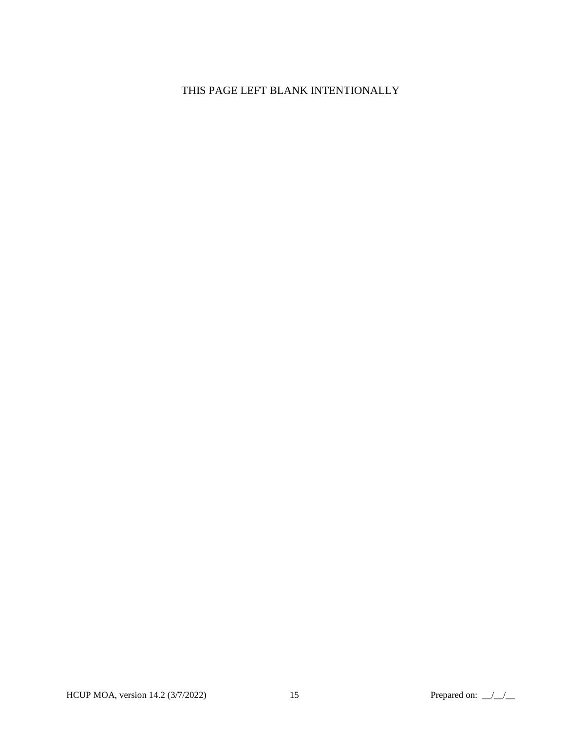# THIS PAGE LEFT BLANK INTENTIONALLY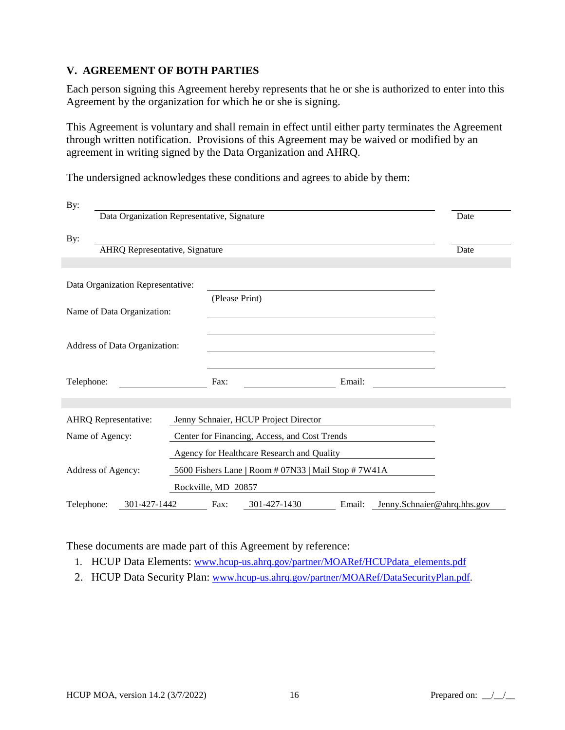### **V. AGREEMENT OF BOTH PARTIES**

Each person signing this Agreement hereby represents that he or she is authorized to enter into this Agreement by the organization for which he or she is signing.

This Agreement is voluntary and shall remain in effect until either party terminates the Agreement through written notification. Provisions of this Agreement may be waived or modified by an agreement in writing signed by the Data Organization and AHRQ.

The undersigned acknowledges these conditions and agrees to abide by them:

| By:                                                                        |                                               |                                       |        |                             |      |
|----------------------------------------------------------------------------|-----------------------------------------------|---------------------------------------|--------|-----------------------------|------|
| Data Organization Representative, Signature                                |                                               | Date                                  |        |                             |      |
|                                                                            |                                               |                                       |        |                             |      |
| By:<br><b>AHRQ</b> Representative, Signature                               |                                               |                                       |        |                             | Date |
|                                                                            |                                               |                                       |        |                             |      |
|                                                                            |                                               |                                       |        |                             |      |
| Data Organization Representative:                                          |                                               |                                       |        |                             |      |
|                                                                            |                                               | (Please Print)                        |        |                             |      |
| Name of Data Organization:                                                 |                                               |                                       |        |                             |      |
|                                                                            |                                               |                                       |        |                             |      |
| Address of Data Organization:                                              |                                               |                                       |        |                             |      |
|                                                                            |                                               |                                       |        |                             |      |
|                                                                            |                                               |                                       |        |                             |      |
| Telephone:                                                                 | Fax:                                          |                                       | Email: |                             |      |
|                                                                            |                                               |                                       |        |                             |      |
| <b>AHRQ</b> Representative:                                                |                                               | Jenny Schnaier, HCUP Project Director |        |                             |      |
| Name of Agency:                                                            | Center for Financing, Access, and Cost Trends |                                       |        |                             |      |
| Agency for Healthcare Research and Quality                                 |                                               |                                       |        |                             |      |
| 5600 Fishers Lane   Room # 07N33   Mail Stop # 7W41A<br>Address of Agency: |                                               |                                       |        |                             |      |
| Rockville, MD 20857                                                        |                                               |                                       |        |                             |      |
| 301-427-1442<br>Telephone:                                                 | Fax:                                          | 301-427-1430                          | Email: | Jenny.Schnaier@ahrq.hhs.gov |      |

These documents are made part of this Agreement by reference:

- 1. HCUP Data Elements: [www.hcup-us.ahrq.gov/partner/MOARef/HCUPdata\\_elements.pdf](http://www.hcup-us.ahrq.gov/partner/MOARef/HCUPdata_elements.pdf)
- 2. HCUP Data Security Plan: [www.hcup-us.ahrq.gov/partner/MOARef/DataSecurityPlan.pdf.](http://www.hcup-us.ahrq.gov/partner/MOARef/DataSecurityPlan.pdf)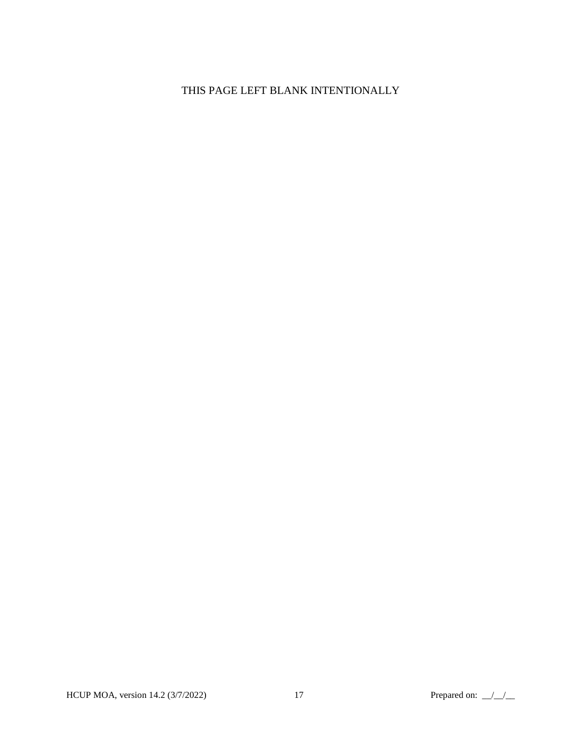# THIS PAGE LEFT BLANK INTENTIONALLY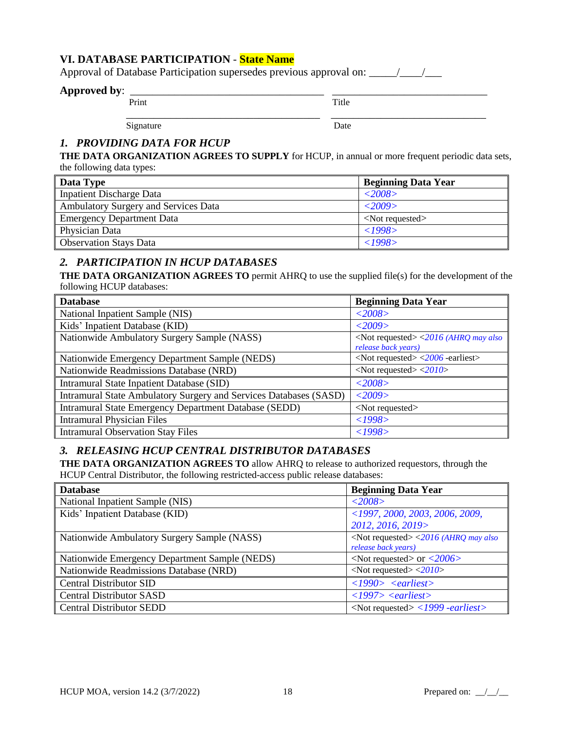### **VI. DATABASE PARTICIPATION** - **State Name**

| Approval of Database Participation supersedes previous approval on: |  |  |  |  |  |
|---------------------------------------------------------------------|--|--|--|--|--|
|---------------------------------------------------------------------|--|--|--|--|--|

#### Approved by:

| $\mathbf{H}$ . $\mathbf{H}$ | Print     | Title |
|-----------------------------|-----------|-------|
|                             |           |       |
|                             | Signature | Date  |

### *1. PROVIDING DATA FOR HCUP*

**THE DATA ORGANIZATION AGREES TO SUPPLY** for HCUP, in annual or more frequent periodic data sets, the following data types:

| Data Type                            | <b>Beginning Data Year</b>        |
|--------------------------------------|-----------------------------------|
| Inpatient Discharge Data             | <2008>                            |
| Ambulatory Surgery and Services Data | $<$ 2009>                         |
| <b>Emergency Department Data</b>     | $\langle$ Not requested $\rangle$ |
| Physician Data                       | $\langle$ 1998>                   |
| <b>Observation Stays Data</b>        | <1998>                            |

### *2. PARTICIPATION IN HCUP DATABASES*

**THE DATA ORGANIZATION AGREES TO** permit AHRQ to use the supplied file(s) for the development of the following HCUP databases:

| <b>Database</b>                                                   | <b>Beginning Data Year</b>                                                             |
|-------------------------------------------------------------------|----------------------------------------------------------------------------------------|
| National Inpatient Sample (NIS)                                   | $<$ 2008>                                                                              |
| Kids' Inpatient Database (KID)                                    | $<$ 2009>                                                                              |
| Nationwide Ambulatory Surgery Sample (NASS)                       | $\langle$ Not requested $\rangle$ $\langle$ 2016 (AHRQ may also<br>release back years) |
| Nationwide Emergency Department Sample (NEDS)                     | $\langle$ Not requested $>$ $\langle$ 2006 -earliest $>$                               |
| Nationwide Readmissions Database (NRD)                            | $\langle$ Not requested $\rangle \langle 2010 \rangle$                                 |
| Intramural State Inpatient Database (SID)                         | $<$ 2008>                                                                              |
| Intramural State Ambulatory Surgery and Services Databases (SASD) | $<$ 2009>                                                                              |
| Intramural State Emergency Department Database (SEDD)             | $<$ Not requested $>$                                                                  |
| <b>Intramural Physician Files</b>                                 | <1998>                                                                                 |
| <b>Intramural Observation Stay Files</b>                          | <1998>                                                                                 |

### *3. RELEASING HCUP CENTRAL DISTRIBUTOR DATABASES*

**THE DATA ORGANIZATION AGREES TO** allow AHRQ to release to authorized requestors, through the HCUP Central Distributor, the following restricted-access public release databases:

| <b>Database</b>                               | <b>Beginning Data Year</b>                                               |
|-----------------------------------------------|--------------------------------------------------------------------------|
| National Inpatient Sample (NIS)               | $<$ 2008>                                                                |
| Kids' Inpatient Database (KID)                | $\langle 1997, 2000, 2003, 2006, 2009, \rangle$                          |
|                                               | 2012, 2016, 2019>                                                        |
| Nationwide Ambulatory Surgery Sample (NASS)   | <not requested=""> &lt;2016 (AHRQ may also<br/>release back years)</not> |
| Nationwide Emergency Department Sample (NEDS) | $\langle$ Not requested $>$ or $\langle$ 2006 $>$                        |
| Nationwide Readmissions Database (NRD)        | $<$ Not requested $>$ $<$ 2010 $>$                                       |
| <b>Central Distributor SID</b>                | $\langle$ 1990> $\langle$ earliest>                                      |
| <b>Central Distributor SASD</b>               | $\langle$ 1997> $\langle$ earliest>                                      |
| <b>Central Distributor SEDD</b>               | $\langle$ Not requested $\rangle$ $\langle$ 1999 -earliest $\rangle$     |